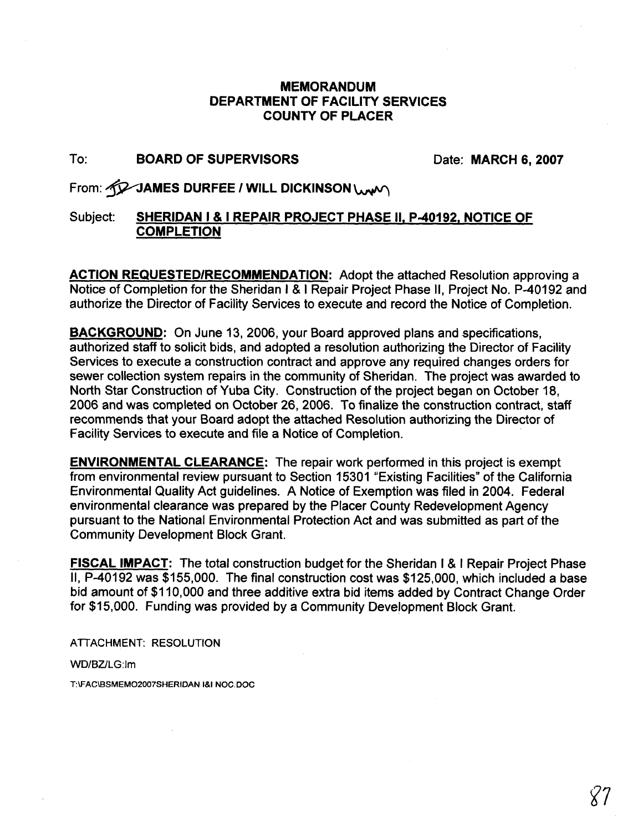#### **MEMORANDUM DEPARTMENT OF FACILITY SERVICES COUNTY OF PLACER**

#### To: **BOARD OF SUPERVISORS Date: MARCH 6, 2007**

### From: *GQ* JAMES DURFEE / WILL DICKINSON \UW\

#### Subject: **SHERIDAN I** & **I REPAIR PROJECT PHASE 11, P-40192, NOTICE OF COMPLETION**

**ACTION REQUESTEDIRECOMMENDATION:** Adopt the attached Resolution approving a Notice of Completion for the Sheridan I & 1 Repair Project Phase II, Project No. P-40192 and authorize the Director of Facility Services to execute and record the Notice of Completion.

**BACKGROUND:** On June 13, 2006, your Board approved plans and specifications, authorized staff to solicit bids, and adopted a resolution authorizing the Director of Facility Services to execute a construction contract and approve any required changes orders for sewer collection system repairs in the community of Sheridan. The project was awarded to North Star Construction of Yuba City. Construction of the project began on October 18, 2006 and was completed on October 26, 2006. To finalize the construction contract, staff recommends that your Board adopt the attached Resolution authorizing the Director of Facility Services to execute and file a Notice of Completion.

**ENVIRONMENTAL CLEARANCE:** The repair work performed in this project is exempt from environmental review pursuant to Section 15301 "Existing Facilities" of the California Environmental Quality Act guidelines. A Notice of Exemption was filed in 2004. Federal environmental clearance was prepared by the Placer County Redevelopment Agency pursuant to the National Environmental Protection Act and was submitted as part of the Community Development Block Grant.

**FISCAL IMPACT:** The total construction budget for the Sheridan I & I Repair Project Phase 11, P-40192 was \$155,000. The final construction cost was \$125,000, which included a base bid amount of \$1 10,000 and three additive extra bid items added by Contract Change Order for \$15,000. Funding was provided by a Community Development Block Grant.

**ATTACHMENT: RESOLUTION** 

WD/BZ/LG:Im

T:\FAC\BSMEMO2007SHERIDAN I&I NOC.DOC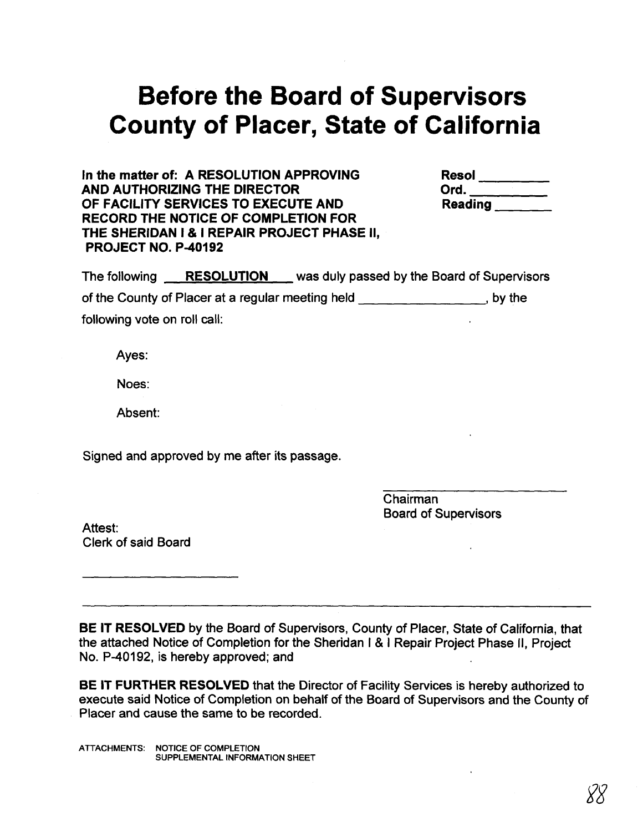# **Before the Board of Supervisors County of Placer, State of California**

In the matter of: A RESOLUTION APPROVING **AND AUTHORIZING THE DIRECTOR OF FACILITY SERVICES TO EXECUTE AND RECORD THE NOTICE OF COMPLETION FOR THE SHERIDAN I** & **I REPAIR PROJECT PHASE II, PROJECT NO. P-40192** 

| <b>Resol</b>   |  |  |
|----------------|--|--|
| Ord.           |  |  |
| <b>Reading</b> |  |  |

The following **RESOLUTION** was duly passed by the Board of Supervisors of the County of Placer at a regular meeting held , by the following vote on roll call:

Ayes:

Noes:

Absent:

Signed and approved by me after its passage.

Chairman Board of Supervisors

Attest: Clerk of said Board

**BE IT RESOLVED** by the Board of Supervisors, County of Placer, State of California, that the attached Notice of Completion for the Sheridan I & I Repair Project Phase II, Project No. P-40192, is hereby approved; and

**BE IT FURTHER RESOLVED** that the Director of Facility Services is hereby authorized to execute said Notice of Completion on behalf of the Board of Supervisors and the County of Placer and cause the same to be recorded.

ATTACHMENTS: NOTICE OF COMPLETION SUPPLEMENTAL INFORMATION SHEET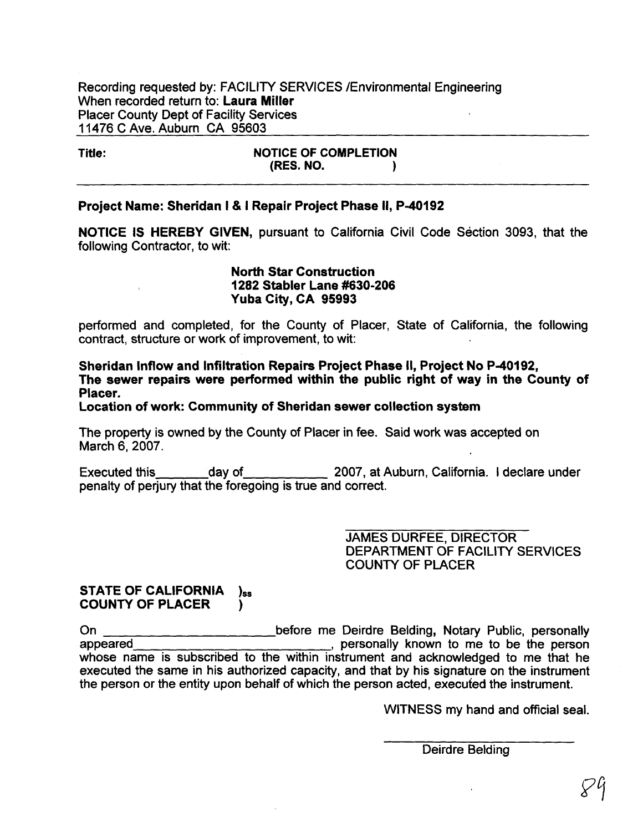Recording requested by: FACILITY SERVICES /Environmental Engineering When recorded return to: Laura Miller Placer County Dept of Facility Services 1 1476 C Ave. Auburn CA 95603

Title: NOTICE OF COMPLETION<br>(RES. NO. ) (RES. NO. **1** 

#### Project Name: Sheridan I & I Repair Project Phase 11, P-40192

NOTICE IS HEREBY GIVEN, pursuant to California Civil Code Section 3093, that the following Contractor, to wit:

#### North Star Construction 1282 Stabler Lane #630-206 Yuba City, CA 95993

performed and completed, for the County of Placer, State of California, the following contract, structure or work of improvement, to wit:

Sheridan Inflow and Infiltration Repairs Project Phase II, Project No P-40192, The sewer repairs were performed within the public right of way in the County of Placer.

Location of work: Community of Sheridan sewer collection system

The property is owned by the County of Placer in fee. Said work was accepted on March 6, 2007.

Executed this day of 2007, at Auburn, California. I declare under penalty of perjury that the foregoing is true and correct.

> JAMES DURFEE, DIRECTOR DEPARTMENT OF FACILITY SERVICES COUNTY OF PLACER

#### STATE OF CALIFORNIA  $)$ ss COUNTY OF PLACER )

On **before me Deirdre Belding, Notary Public, personally** appeared , personally known to me to be the person whose name is subscribed to the within instrument and acknowledged to me that he executed the same in his authorized capacity, and that by his signature on the instrument the person or the entity upon behalf of which the person acted, executed the instrument.

WITNESS my hand and official seal.

Deirdre Belding